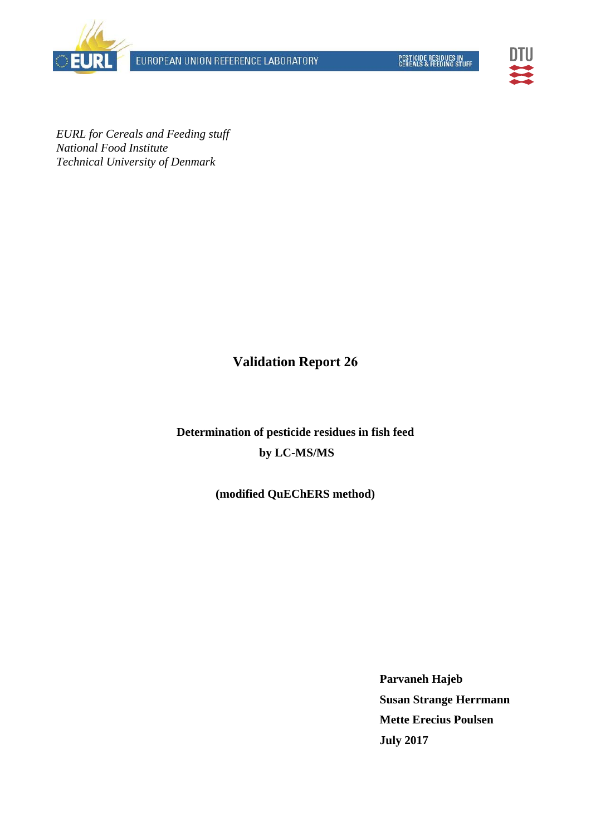





*EURL for Cereals and Feeding stuff National Food Institute Technical University of Denmark* 

**Validation Report 26**

**Determination of pesticide residues in fish feed by LC-MS/MS** 

**(modified QuEChERS method)** 

**Parvaneh Hajeb Susan Strange Herrmann Mette Erecius Poulsen July 2017**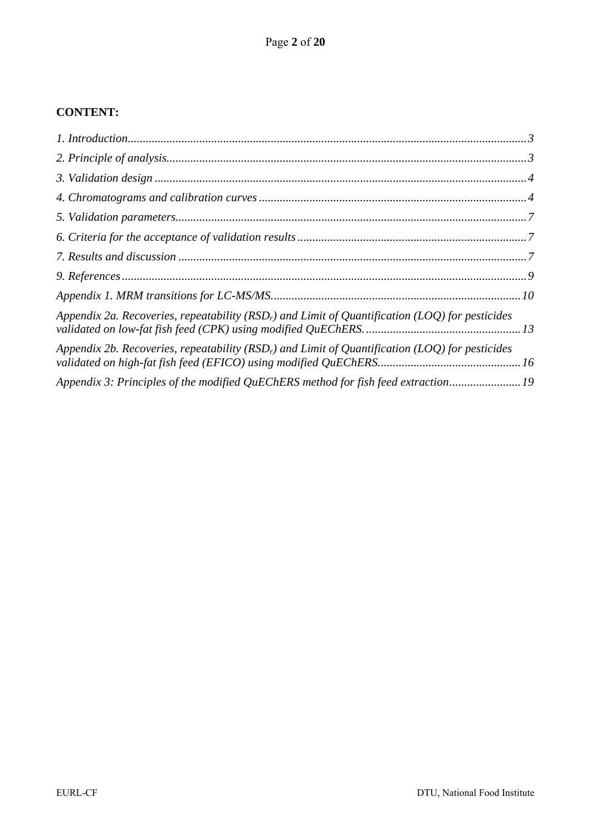## **CONTENT:**

| Appendix 2a. Recoveries, repeatability ( $RSDr$ ) and Limit of Quantification (LOQ) for pesticides |  |
|----------------------------------------------------------------------------------------------------|--|
| Appendix 2b. Recoveries, repeatability ( $RSDr$ ) and Limit of Quantification (LOQ) for pesticides |  |
| Appendix 3: Principles of the modified QuEChERS method for fish feed extraction 19                 |  |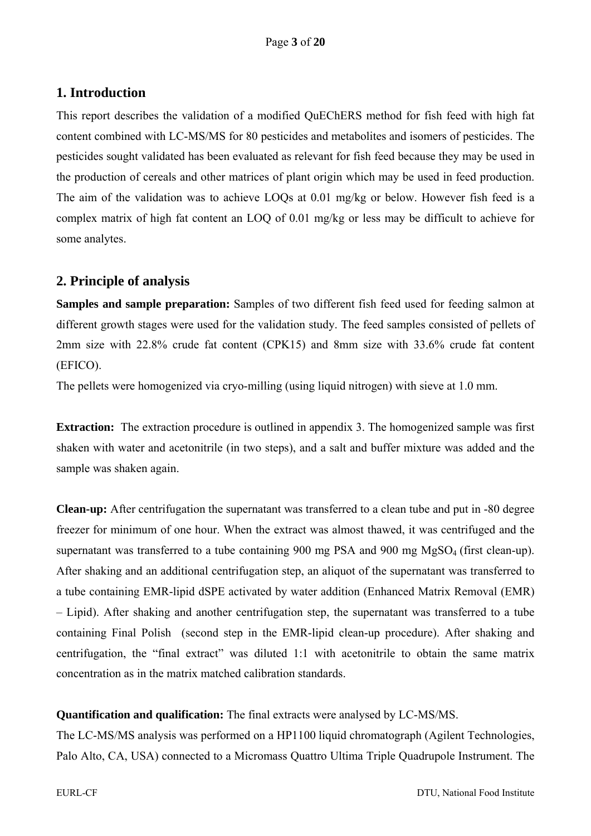# **1. Introduction**

This report describes the validation of a modified QuEChERS method for fish feed with high fat content combined with LC-MS/MS for 80 pesticides and metabolites and isomers of pesticides. The pesticides sought validated has been evaluated as relevant for fish feed because they may be used in the production of cereals and other matrices of plant origin which may be used in feed production. The aim of the validation was to achieve LOQs at 0.01 mg/kg or below. However fish feed is a complex matrix of high fat content an LOQ of 0.01 mg/kg or less may be difficult to achieve for some analytes.

# **2. Principle of analysis**

**Samples and sample preparation:** Samples of two different fish feed used for feeding salmon at different growth stages were used for the validation study. The feed samples consisted of pellets of 2mm size with 22.8% crude fat content (CPK15) and 8mm size with 33.6% crude fat content (EFICO).

The pellets were homogenized via cryo-milling (using liquid nitrogen) with sieve at 1.0 mm.

**Extraction:** The extraction procedure is outlined in appendix 3. The homogenized sample was first shaken with water and acetonitrile (in two steps), and a salt and buffer mixture was added and the sample was shaken again.

**Clean-up:** After centrifugation the supernatant was transferred to a clean tube and put in -80 degree freezer for minimum of one hour. When the extract was almost thawed, it was centrifuged and the supernatant was transferred to a tube containing 900 mg PSA and 900 mg MgSO<sub>4</sub> (first clean-up). After shaking and an additional centrifugation step, an aliquot of the supernatant was transferred to a tube containing EMR-lipid dSPE activated by water addition (Enhanced Matrix Removal (EMR) – Lipid). After shaking and another centrifugation step, the supernatant was transferred to a tube containing Final Polish (second step in the EMR-lipid clean-up procedure). After shaking and centrifugation, the "final extract" was diluted 1:1 with acetonitrile to obtain the same matrix concentration as in the matrix matched calibration standards.

### **Quantification and qualification:** The final extracts were analysed by LC-MS/MS.

The LC-MS/MS analysis was performed on a HP1100 liquid chromatograph (Agilent Technologies, Palo Alto, CA, USA) connected to a Micromass Quattro Ultima Triple Quadrupole Instrument. The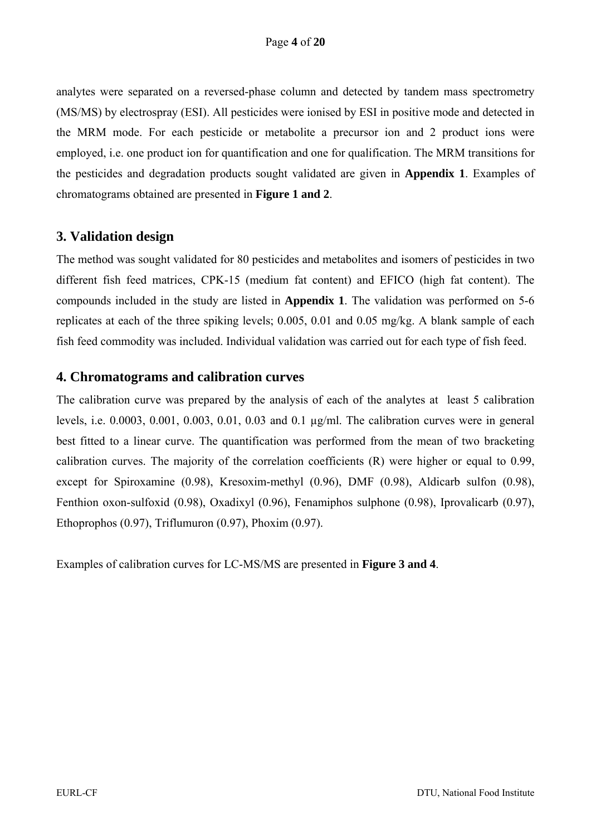analytes were separated on a reversed-phase column and detected by tandem mass spectrometry (MS/MS) by electrospray (ESI). All pesticides were ionised by ESI in positive mode and detected in the MRM mode. For each pesticide or metabolite a precursor ion and 2 product ions were employed, i.e. one product ion for quantification and one for qualification. The MRM transitions for the pesticides and degradation products sought validated are given in **Appendix 1**. Examples of chromatograms obtained are presented in **Figure 1 and 2**.

## **3. Validation design**

The method was sought validated for 80 pesticides and metabolites and isomers of pesticides in two different fish feed matrices, CPK-15 (medium fat content) and EFICO (high fat content). The compounds included in the study are listed in **Appendix 1**. The validation was performed on 5-6 replicates at each of the three spiking levels; 0.005, 0.01 and 0.05 mg/kg. A blank sample of each fish feed commodity was included. Individual validation was carried out for each type of fish feed.

### **4. Chromatograms and calibration curves**

The calibration curve was prepared by the analysis of each of the analytes at least 5 calibration levels, i.e. 0.0003, 0.001, 0.003, 0.01, 0.03 and 0.1 µg/ml. The calibration curves were in general best fitted to a linear curve. The quantification was performed from the mean of two bracketing calibration curves. The majority of the correlation coefficients (R) were higher or equal to 0.99, except for Spiroxamine (0.98), Kresoxim-methyl (0.96), DMF (0.98), Aldicarb sulfon (0.98), Fenthion oxon-sulfoxid (0.98), Oxadixyl (0.96), Fenamiphos sulphone (0.98), Iprovalicarb (0.97), Ethoprophos (0.97), Triflumuron (0.97), Phoxim (0.97).

Examples of calibration curves for LC-MS/MS are presented in **Figure 3 and 4**.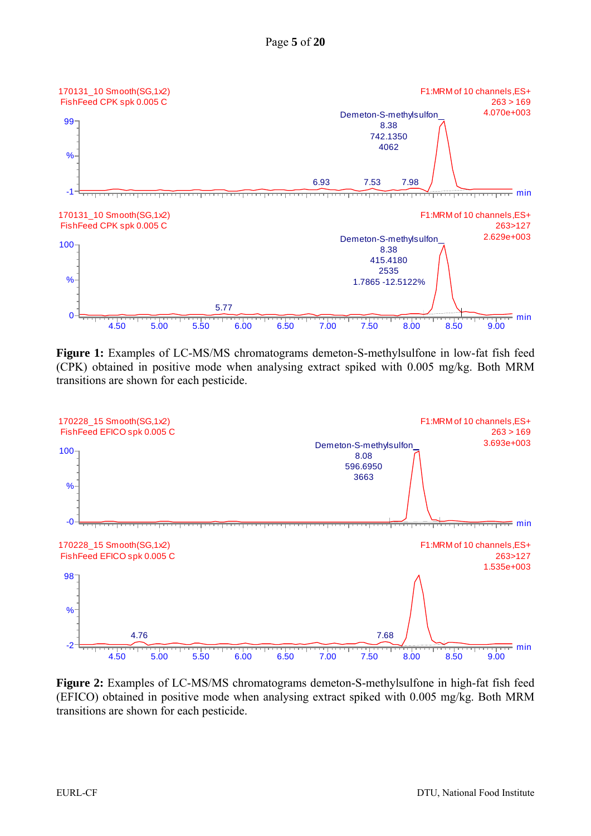

**Figure 1:** Examples of LC-MS/MS chromatograms demeton-S-methylsulfone in low-fat fish feed (CPK) obtained in positive mode when analysing extract spiked with 0.005 mg/kg. Both MRM transitions are shown for each pesticide.



**Figure 2:** Examples of LC-MS/MS chromatograms demeton-S-methylsulfone in high-fat fish feed (EFICO) obtained in positive mode when analysing extract spiked with 0.005 mg/kg. Both MRM transitions are shown for each pesticide.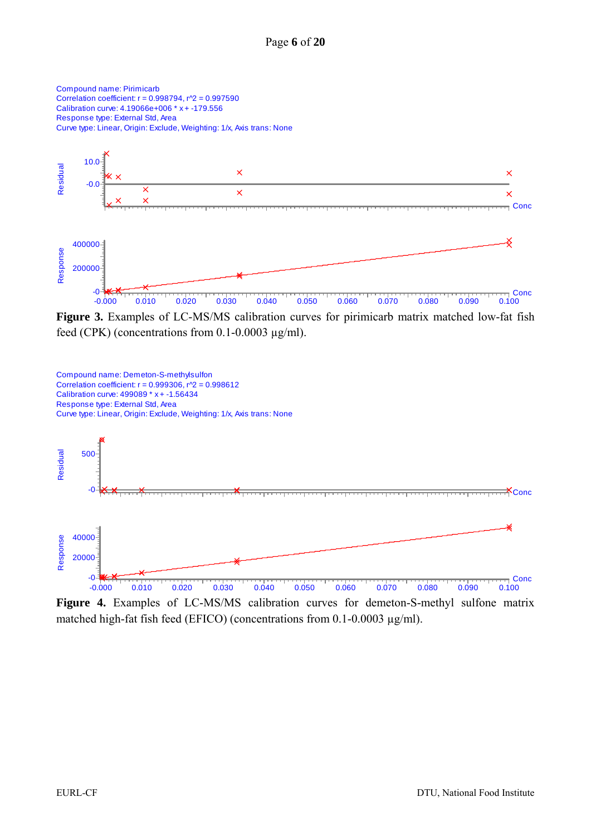

Figure 3. Examples of LC-MS/MS calibration curves for pirimicarb matrix matched low-fat fish feed (CPK) (concentrations from  $0.1$ - $0.0003 \mu$ g/ml).



**Figure 4.** Examples of LC-MS/MS calibration curves for demeton-S-methyl sulfone matrix matched high-fat fish feed (EFICO) (concentrations from 0.1-0.0003 µg/ml).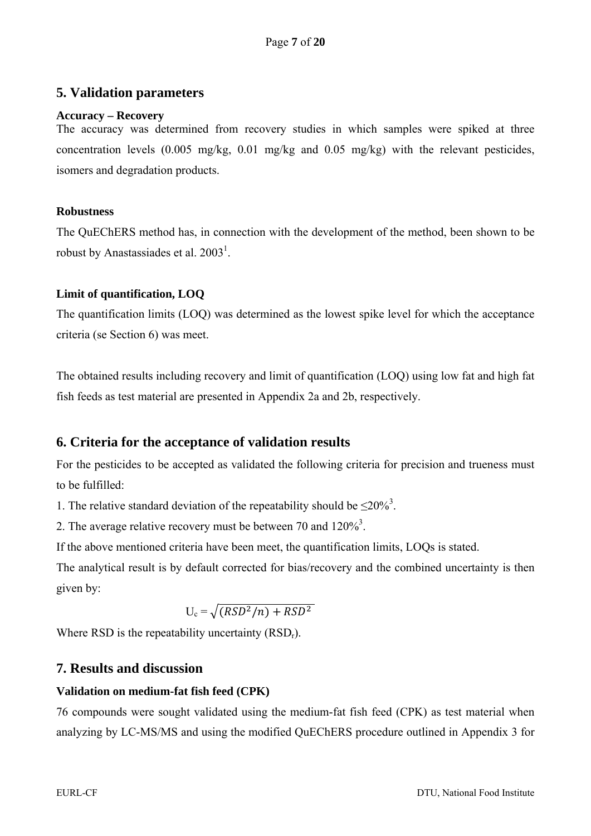## **5. Validation parameters**

#### **Accuracy – Recovery**

The accuracy was determined from recovery studies in which samples were spiked at three concentration levels (0.005 mg/kg, 0.01 mg/kg and 0.05 mg/kg) with the relevant pesticides, isomers and degradation products.

#### **Robustness**

The QuEChERS method has, in connection with the development of the method, been shown to be robust by Anastassiades et al.  $2003<sup>1</sup>$ .

### **Limit of quantification, LOQ**

The quantification limits (LOQ) was determined as the lowest spike level for which the acceptance criteria (se Section 6) was meet.

The obtained results including recovery and limit of quantification (LOQ) using low fat and high fat fish feeds as test material are presented in Appendix 2a and 2b, respectively.

## **6. Criteria for the acceptance of validation results**

For the pesticides to be accepted as validated the following criteria for precision and trueness must to be fulfilled:

1. The relative standard deviation of the repeatability should be  $\leq 20\%$ <sup>3</sup>.

2. The average relative recovery must be between 70 and  $120\%$ <sup>3</sup>.

If the above mentioned criteria have been meet, the quantification limits, LOQs is stated.

The analytical result is by default corrected for bias/recovery and the combined uncertainty is then given by:

$$
U_c = \sqrt{(RSD^2/n) + RSD^2}
$$

Where RSD is the repeatability uncertainty  $(RSD<sub>r</sub>)$ .

## **7. Results and discussion**

### **Validation on medium-fat fish feed (CPK)**

76 compounds were sought validated using the medium-fat fish feed (CPK) as test material when analyzing by LC-MS/MS and using the modified QuEChERS procedure outlined in Appendix 3 for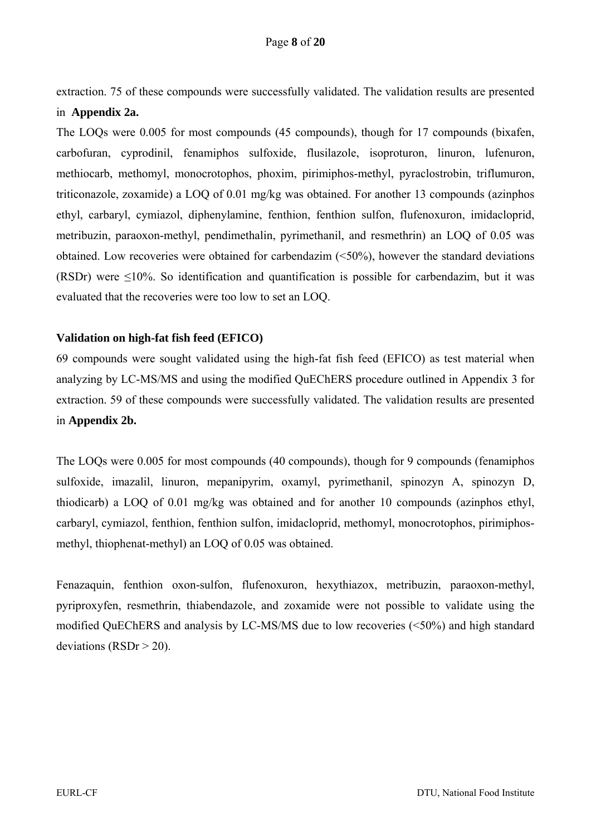extraction. 75 of these compounds were successfully validated. The validation results are presented in **Appendix 2a.** 

The LOQs were 0.005 for most compounds (45 compounds), though for 17 compounds (bixafen, carbofuran, cyprodinil, fenamiphos sulfoxide, flusilazole, isoproturon, linuron, lufenuron, methiocarb, methomyl, monocrotophos, phoxim, pirimiphos-methyl, pyraclostrobin, triflumuron, triticonazole, zoxamide) a LOQ of 0.01 mg/kg was obtained. For another 13 compounds (azinphos ethyl, carbaryl, cymiazol, diphenylamine, fenthion, fenthion sulfon, flufenoxuron, imidacloprid, metribuzin, paraoxon-methyl, pendimethalin, pyrimethanil, and resmethrin) an LOQ of 0.05 was obtained. Low recoveries were obtained for carbendazim (<50%), however the standard deviations (RSDr) were  $\leq 10\%$ . So identification and quantification is possible for carbendazim, but it was evaluated that the recoveries were too low to set an LOQ.

#### **Validation on high-fat fish feed (EFICO)**

69 compounds were sought validated using the high-fat fish feed (EFICO) as test material when analyzing by LC-MS/MS and using the modified QuEChERS procedure outlined in Appendix 3 for extraction. 59 of these compounds were successfully validated. The validation results are presented in **Appendix 2b.** 

The LOQs were 0.005 for most compounds (40 compounds), though for 9 compounds (fenamiphos sulfoxide, imazalil, linuron, mepanipyrim, oxamyl, pyrimethanil, spinozyn A, spinozyn D, thiodicarb) a LOQ of 0.01 mg/kg was obtained and for another 10 compounds (azinphos ethyl, carbaryl, cymiazol, fenthion, fenthion sulfon, imidacloprid, methomyl, monocrotophos, pirimiphosmethyl, thiophenat-methyl) an LOQ of 0.05 was obtained.

Fenazaquin, fenthion oxon-sulfon, flufenoxuron, hexythiazox, metribuzin, paraoxon-methyl, pyriproxyfen, resmethrin, thiabendazole, and zoxamide were not possible to validate using the modified QuEChERS and analysis by LC-MS/MS due to low recoveries (<50%) and high standard deviations ( $RSDr > 20$ ).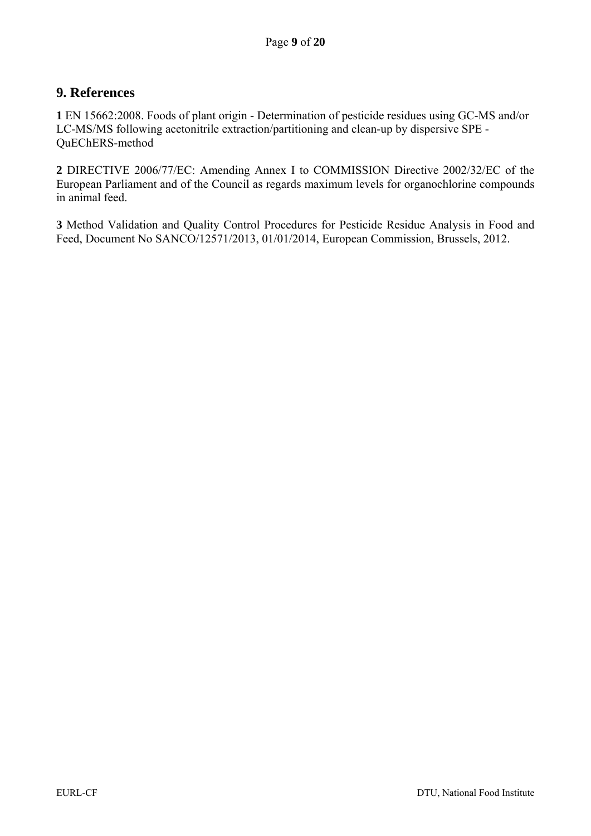## **9. References**

**1** EN 15662:2008. Foods of plant origin - Determination of pesticide residues using GC-MS and/or LC-MS/MS following acetonitrile extraction/partitioning and clean-up by dispersive SPE - QuEChERS-method

**2** DIRECTIVE 2006/77/EC: Amending Annex I to COMMISSION Directive 2002/32/EC of the European Parliament and of the Council as regards maximum levels for organochlorine compounds in animal feed.

**3** Method Validation and Quality Control Procedures for Pesticide Residue Analysis in Food and Feed, Document No SANCO/12571/2013, 01/01/2014, European Commission, Brussels, 2012.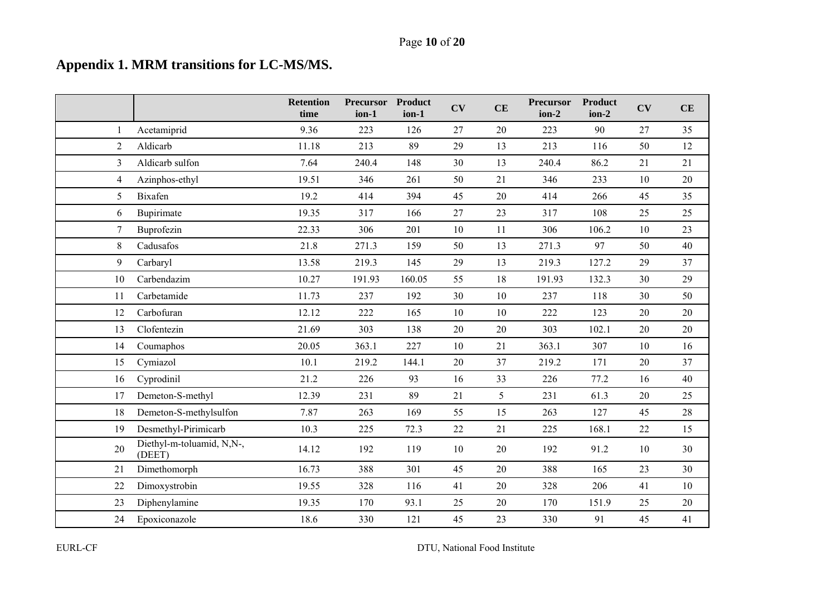# **Appendix 1. MRM transitions for LC-MS/MS.**

|                |                                     | <b>Retention</b><br>time | <b>Precursor</b><br>ion-1 | <b>Product</b><br>ion-1 | CV | CE | Precursor<br>ion-2 | <b>Product</b><br>ion-2 | CV     | CE |
|----------------|-------------------------------------|--------------------------|---------------------------|-------------------------|----|----|--------------------|-------------------------|--------|----|
| 1              | Acetamiprid                         | 9.36                     | 223                       | 126                     | 27 | 20 | 223                | 90                      | 27     | 35 |
| $\overline{2}$ | Aldicarb                            | 11.18                    | 213                       | 89                      | 29 | 13 | 213                | 116                     | 50     | 12 |
| 3              | Aldicarb sulfon                     | 7.64                     | 240.4                     | 148                     | 30 | 13 | 240.4              | 86.2                    | 21     | 21 |
| $\overline{4}$ | Azinphos-ethyl                      | 19.51                    | 346                       | 261                     | 50 | 21 | 346                | 233                     | 10     | 20 |
| 5              | <b>Bixafen</b>                      | 19.2                     | 414                       | 394                     | 45 | 20 | 414                | 266                     | 45     | 35 |
| 6              | Bupirimate                          | 19.35                    | 317                       | 166                     | 27 | 23 | 317                | 108                     | 25     | 25 |
| 7              | Buprofezin                          | 22.33                    | 306                       | 201                     | 10 | 11 | 306                | 106.2                   | 10     | 23 |
| 8              | Cadusafos                           | 21.8                     | 271.3                     | 159                     | 50 | 13 | 271.3              | 97                      | 50     | 40 |
| 9              | Carbaryl                            | 13.58                    | 219.3                     | 145                     | 29 | 13 | 219.3              | 127.2                   | 29     | 37 |
| 10             | Carbendazim                         | 10.27                    | 191.93                    | 160.05                  | 55 | 18 | 191.93             | 132.3                   | 30     | 29 |
| 11             | Carbetamide                         | 11.73                    | 237                       | 192                     | 30 | 10 | 237                | 118                     | 30     | 50 |
| 12             | Carbofuran                          | 12.12                    | 222                       | 165                     | 10 | 10 | 222                | 123                     | 20     | 20 |
| 13             | Clofentezin                         | 21.69                    | 303                       | 138                     | 20 | 20 | 303                | 102.1                   | 20     | 20 |
| 14             | Coumaphos                           | 20.05                    | 363.1                     | 227                     | 10 | 21 | 363.1              | 307                     | 10     | 16 |
| 15             | Cymiazol                            | 10.1                     | 219.2                     | 144.1                   | 20 | 37 | 219.2              | 171                     | 20     | 37 |
| 16             | Cyprodinil                          | 21.2                     | 226                       | 93                      | 16 | 33 | 226                | 77.2                    | 16     | 40 |
| 17             | Demeton-S-methyl                    | 12.39                    | 231                       | 89                      | 21 | 5  | 231                | 61.3                    | $20\,$ | 25 |
| 18             | Demeton-S-methylsulfon              | 7.87                     | 263                       | 169                     | 55 | 15 | 263                | 127                     | 45     | 28 |
| 19             | Desmethyl-Pirimicarb                | 10.3                     | 225                       | 72.3                    | 22 | 21 | 225                | 168.1                   | 22     | 15 |
| 20             | Diethyl-m-toluamid, N,N-,<br>(DEET) | 14.12                    | 192                       | 119                     | 10 | 20 | 192                | 91.2                    | 10     | 30 |
| 21             | Dimethomorph                        | 16.73                    | 388                       | 301                     | 45 | 20 | 388                | 165                     | 23     | 30 |
| 22             | Dimoxystrobin                       | 19.55                    | 328                       | 116                     | 41 | 20 | 328                | 206                     | 41     | 10 |
| 23             | Diphenylamine                       | 19.35                    | 170                       | 93.1                    | 25 | 20 | 170                | 151.9                   | 25     | 20 |
| 24             | Epoxiconazole                       | 18.6                     | 330                       | 121                     | 45 | 23 | 330                | 91                      | 45     | 41 |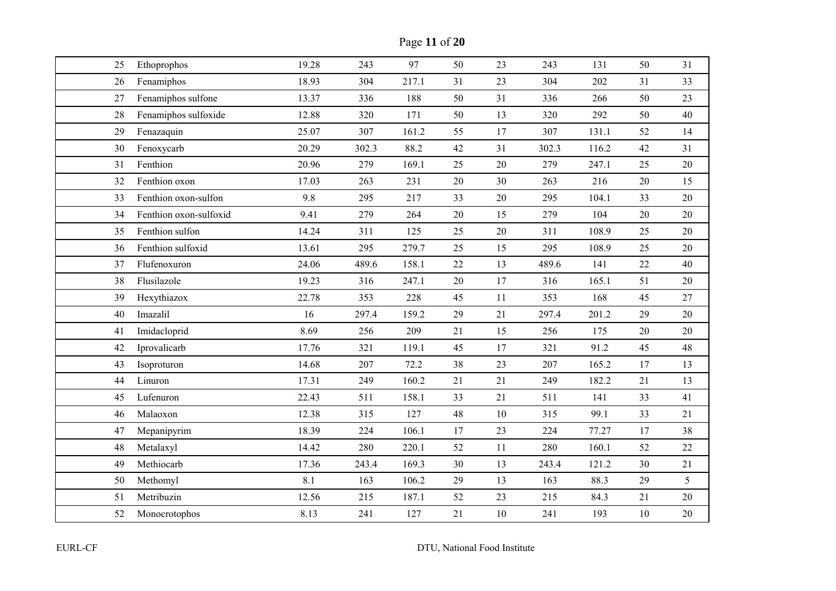Page **11** of **20**

| 25 | Ethoprophos            | 19.28 | 243   | 97    | 50     | 23 | 243   | 131   | 50     | 31     |
|----|------------------------|-------|-------|-------|--------|----|-------|-------|--------|--------|
| 26 | Fenamiphos             | 18.93 | 304   | 217.1 | 31     | 23 | 304   | 202   | 31     | 33     |
| 27 | Fenamiphos sulfone     | 13.37 | 336   | 188   | 50     | 31 | 336   | 266   | 50     | 23     |
| 28 | Fenamiphos sulfoxide   | 12.88 | 320   | 171   | 50     | 13 | 320   | 292   | 50     | 40     |
| 29 | Fenazaquin             | 25.07 | 307   | 161.2 | 55     | 17 | 307   | 131.1 | 52     | 14     |
| 30 | Fenoxycarb             | 20.29 | 302.3 | 88.2  | 42     | 31 | 302.3 | 116.2 | 42     | 31     |
| 31 | Fenthion               | 20.96 | 279   | 169.1 | 25     | 20 | 279   | 247.1 | 25     | 20     |
| 32 | Fenthion oxon          | 17.03 | 263   | 231   | 20     | 30 | 263   | 216   | $20\,$ | 15     |
| 33 | Fenthion oxon-sulfon   | 9.8   | 295   | 217   | 33     | 20 | 295   | 104.1 | 33     | 20     |
| 34 | Fenthion oxon-sulfoxid | 9.41  | 279   | 264   | 20     | 15 | 279   | 104   | 20     | 20     |
| 35 | Fenthion sulfon        | 14.24 | 311   | 125   | 25     | 20 | 311   | 108.9 | 25     | 20     |
| 36 | Fenthion sulfoxid      | 13.61 | 295   | 279.7 | 25     | 15 | 295   | 108.9 | 25     | 20     |
| 37 | Flufenoxuron           | 24.06 | 489.6 | 158.1 | 22     | 13 | 489.6 | 141   | 22     | 40     |
| 38 | Flusilazole            | 19.23 | 316   | 247.1 | $20\,$ | 17 | 316   | 165.1 | 51     | $20\,$ |
| 39 | Hexythiazox            | 22.78 | 353   | 228   | 45     | 11 | 353   | 168   | 45     | 27     |
| 40 | Imazalil               | 16    | 297.4 | 159.2 | 29     | 21 | 297.4 | 201.2 | 29     | 20     |
| 41 | Imidacloprid           | 8.69  | 256   | 209   | 21     | 15 | 256   | 175   | $20\,$ | 20     |
| 42 | Iprovalicarb           | 17.76 | 321   | 119.1 | 45     | 17 | 321   | 91.2  | 45     | 48     |
| 43 | Isoproturon            | 14.68 | 207   | 72.2  | 38     | 23 | 207   | 165.2 | 17     | 13     |
| 44 | Linuron                | 17.31 | 249   | 160.2 | 21     | 21 | 249   | 182.2 | 21     | 13     |
| 45 | Lufenuron              | 22.43 | 511   | 158.1 | 33     | 21 | 511   | 141   | 33     | 41     |
| 46 | Malaoxon               | 12.38 | 315   | 127   | 48     | 10 | 315   | 99.1  | 33     | 21     |
| 47 | Mepanipyrim            | 18.39 | 224   | 106.1 | 17     | 23 | 224   | 77.27 | 17     | 38     |
| 48 | Metalaxyl              | 14.42 | 280   | 220.1 | 52     | 11 | 280   | 160.1 | 52     | 22     |
| 49 | Methiocarb             | 17.36 | 243.4 | 169.3 | 30     | 13 | 243.4 | 121.2 | 30     | 21     |
| 50 | Methomyl               | 8.1   | 163   | 106.2 | 29     | 13 | 163   | 88.3  | 29     | 5      |
|    | Metribuzin             | 12.56 | 215   | 187.1 | 52     | 23 | 215   | 84.3  | 21     | 20     |
| 51 |                        |       |       |       |        |    |       |       |        |        |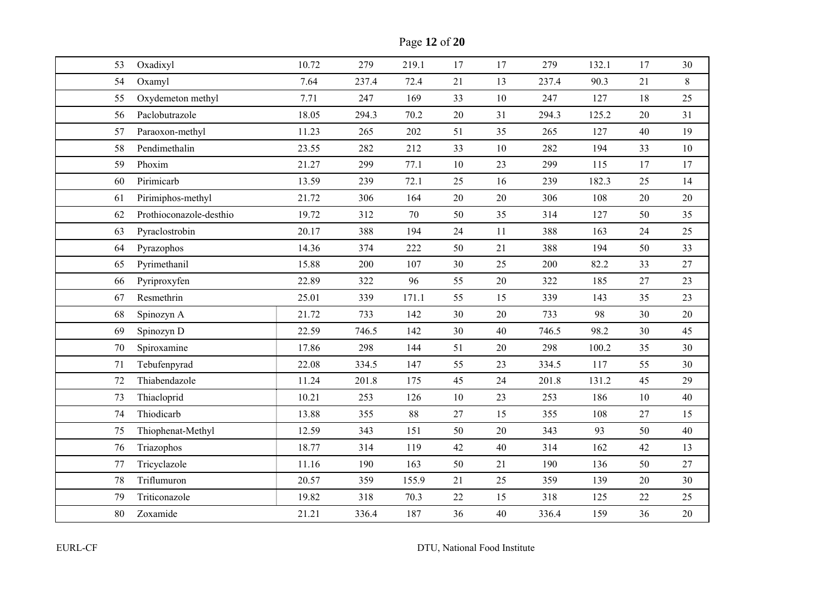Page **12** of **20**

| 53 | Oxadixyl                | 10.72 | 279   | 219.1 | 17     | 17     | 279   | 132.1 | 17     | 30    |
|----|-------------------------|-------|-------|-------|--------|--------|-------|-------|--------|-------|
| 54 | Oxamyl                  | 7.64  | 237.4 | 72.4  | 21     | 13     | 237.4 | 90.3  | 21     | $8\,$ |
| 55 | Oxydemeton methyl       | 7.71  | 247   | 169   | 33     | 10     | 247   | 127   | 18     | 25    |
| 56 | Paclobutrazole          | 18.05 | 294.3 | 70.2  | 20     | 31     | 294.3 | 125.2 | 20     | 31    |
| 57 | Paraoxon-methyl         | 11.23 | 265   | 202   | 51     | 35     | 265   | 127   | 40     | 19    |
| 58 | Pendimethalin           | 23.55 | 282   | 212   | 33     | 10     | 282   | 194   | 33     | 10    |
| 59 | Phoxim                  | 21.27 | 299   | 77.1  | 10     | 23     | 299   | 115   | 17     | 17    |
| 60 | Pirimicarb              | 13.59 | 239   | 72.1  | 25     | 16     | 239   | 182.3 | 25     | 14    |
| 61 | Pirimiphos-methyl       | 21.72 | 306   | 164   | 20     | 20     | 306   | 108   | 20     | 20    |
| 62 | Prothioconazole-desthio | 19.72 | 312   | 70    | 50     | 35     | 314   | 127   | 50     | 35    |
| 63 | Pyraclostrobin          | 20.17 | 388   | 194   | 24     | 11     | 388   | 163   | 24     | 25    |
| 64 | Pyrazophos              | 14.36 | 374   | 222   | 50     | 21     | 388   | 194   | 50     | 33    |
| 65 | Pyrimethanil            | 15.88 | 200   | 107   | 30     | 25     | 200   | 82.2  | 33     | 27    |
| 66 | Pyriproxyfen            | 22.89 | 322   | 96    | 55     | $20\,$ | 322   | 185   | 27     | 23    |
| 67 | Resmethrin              | 25.01 | 339   | 171.1 | 55     | 15     | 339   | 143   | 35     | 23    |
| 68 | Spinozyn A              | 21.72 | 733   | 142   | 30     | 20     | 733   | 98    | 30     | 20    |
| 69 | Spinozyn D              | 22.59 | 746.5 | 142   | 30     | 40     | 746.5 | 98.2  | 30     | 45    |
| 70 | Spiroxamine             | 17.86 | 298   | 144   | 51     | 20     | 298   | 100.2 | 35     | 30    |
| 71 | Tebufenpyrad            | 22.08 | 334.5 | 147   | 55     | 23     | 334.5 | 117   | 55     | 30    |
| 72 | Thiabendazole           | 11.24 | 201.8 | 175   | 45     | 24     | 201.8 | 131.2 | 45     | 29    |
| 73 | Thiacloprid             | 10.21 | 253   | 126   | 10     | 23     | 253   | 186   | 10     | 40    |
| 74 | Thiodicarb              | 13.88 | 355   | 88    | 27     | 15     | 355   | 108   | 27     | 15    |
| 75 | Thiophenat-Methyl       | 12.59 | 343   | 151   | 50     | 20     | 343   | 93    | 50     | 40    |
| 76 | Triazophos              | 18.77 | 314   | 119   | 42     | 40     | 314   | 162   | 42     | 13    |
| 77 | Tricyclazole            | 11.16 | 190   | 163   | 50     | 21     | 190   | 136   | 50     | 27    |
| 78 | Triflumuron             | 20.57 | 359   | 155.9 | 21     | 25     | 359   | 139   | $20\,$ | 30    |
| 79 | Triticonazole           | 19.82 | 318   | 70.3  | $22\,$ | 15     | 318   | 125   | 22     | 25    |
| 80 | Zoxamide                | 21.21 | 336.4 | 187   | 36     | 40     | 336.4 | 159   | 36     | 20    |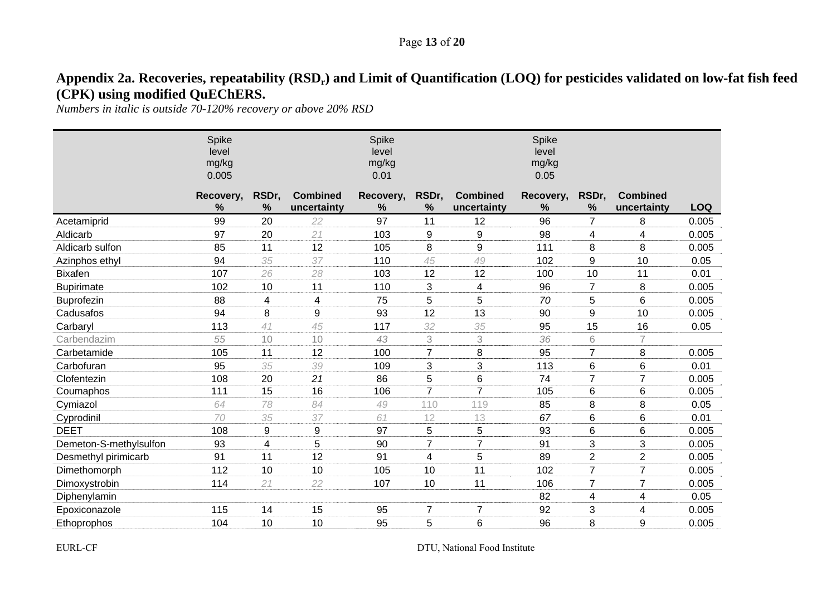#### Page **13** of **20**

# Appendix 2a. Recoveries, repeatability (RSD<sub>r</sub>) and Limit of Quantification (LOQ) for pesticides validated on low-fat fish feed **(CPK) using modified QuEChERS.**

*Numbers in italic is outside 70-120% recovery or above 20% RSD* 

|                        | Spike<br>level<br>mg/kg<br>0.005 |                        |                                | Spike<br>level<br>mg/kg<br>0.01 |                |                                | Spike<br>level<br>mg/kg<br>0.05 |                |                                |            |
|------------------------|----------------------------------|------------------------|--------------------------------|---------------------------------|----------------|--------------------------------|---------------------------------|----------------|--------------------------------|------------|
|                        | Recovery,<br>%                   | RSDr,<br>$\frac{0}{0}$ | <b>Combined</b><br>uncertainty | Recovery,<br>%                  | RSDr,<br>%     | <b>Combined</b><br>uncertainty | Recovery,<br>%                  | RSDr,<br>$\%$  | <b>Combined</b><br>uncertainty | <b>LOQ</b> |
| Acetamiprid            | 99                               | 20                     | 22                             | 97                              | 11             | 12                             | 96                              | $\overline{7}$ | 8                              | 0.005      |
| Aldicarb               | 97                               | 20                     | 21                             | 103                             | 9              | 9                              | 98                              | 4              | 4                              | 0.005      |
| Aldicarb sulfon        | 85                               | 11                     | 12                             | 105                             | 8              | 9                              | 111                             | 8              | 8                              | 0.005      |
| Azinphos ethyl         | 94                               | 35                     | 37                             | 110                             | 45             | 49                             | 102                             | 9              | 10                             | 0.05       |
| <b>Bixafen</b>         | 107                              | 26                     | 28                             | 103                             | 12             | 12                             | 100                             | 10             | 11                             | 0.01       |
| <b>Bupirimate</b>      | 102                              | 10                     | 11                             | 110                             | 3              | 4                              | 96                              | $\overline{7}$ | 8                              | 0.005      |
| Buprofezin             | 88                               | 4                      | 4                              | 75                              | 5              | 5                              | 70                              | 5              | 6                              | 0.005      |
| Cadusafos              | 94                               | 8                      | 9                              | 93                              | 12             | 13                             | 90                              | 9              | 10                             | 0.005      |
| Carbaryl               | 113                              | 41                     | 45                             | 117                             | 32             | 35                             | 95                              | 15             | 16                             | 0.05       |
| Carbendazim            | 55                               | 10                     | 10                             | 43                              | 3              | 3                              | 36                              | 6              | $\overline{7}$                 |            |
| Carbetamide            | 105                              | 11                     | 12                             | 100                             | $\overline{7}$ | 8                              | 95                              | 7              | 8                              | 0.005      |
| Carbofuran             | 95                               | 35                     | 39                             | 109                             | 3              | 3                              | 113                             | 6              | 6                              | 0.01       |
| Clofentezin            | 108                              | 20                     | 21                             | 86                              | 5              | 6                              | 74                              | $\overline{7}$ | $\overline{7}$                 | 0.005      |
| Coumaphos              | 111                              | 15                     | 16                             | 106                             | $\overline{7}$ | $\overline{7}$                 | 105                             | 6              | 6                              | 0.005      |
| Cymiazol               | 64                               | 78                     | 84                             | 49                              | 110            | 119                            | 85                              | 8              | 8                              | 0.05       |
| Cyprodinil             | 70                               | 35                     | 37                             | 61                              | 12             | 13                             | 67                              | 6              | 6                              | 0.01       |
| <b>DEET</b>            | 108                              | 9                      | $\boldsymbol{9}$               | 97                              | 5              | 5                              | 93                              | 6              | 6                              | 0.005      |
| Demeton-S-methylsulfon | 93                               | $\overline{4}$         | 5                              | 90                              | $\overline{7}$ | $\overline{7}$                 | 91                              | 3              | 3                              | 0.005      |
| Desmethyl pirimicarb   | 91                               | 11                     | 12                             | 91                              | 4              | 5                              | 89                              | $\overline{2}$ | $\overline{2}$                 | 0.005      |
| Dimethomorph           | 112                              | 10                     | 10                             | 105                             | 10             | 11                             | 102                             | $\overline{7}$ | $\overline{7}$                 | 0.005      |
| Dimoxystrobin          | 114                              | 21                     | 22                             | 107                             | 10             | 11                             | 106                             | 7              | $\overline{7}$                 | 0.005      |
| Diphenylamin           |                                  |                        |                                |                                 |                |                                | 82                              | 4              | 4                              | 0.05       |
| Epoxiconazole          | 115                              | 14                     | 15                             | 95                              | 7              | 7                              | 92                              | 3              | 4                              | 0.005      |
| Ethoprophos            | 104                              | 10                     | 10                             | 95                              | 5              | 6                              | 96                              | 8              | 9                              | 0.005      |

EURL-CF DTU, National Food Institute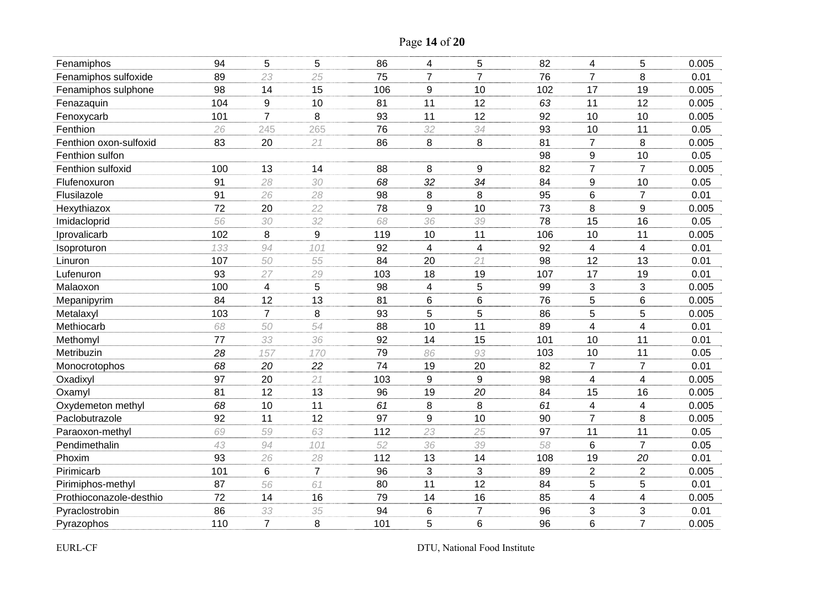| Page 14 of 20 |  |  |  |
|---------------|--|--|--|
|---------------|--|--|--|

| Fenamiphos              | 94  | 5              | 5              | 86  | 4              | 5                        | 82  | 4                       | 5                        | 0.005 |
|-------------------------|-----|----------------|----------------|-----|----------------|--------------------------|-----|-------------------------|--------------------------|-------|
| Fenamiphos sulfoxide    | 89  | 23             | 25             | 75  | $\overline{7}$ | $\overline{7}$           | 76  | $\overline{7}$          | 8                        | 0.01  |
| Fenamiphos sulphone     | 98  | 14             | 15             | 106 | 9              | 10                       | 102 | 17                      | 19                       | 0.005 |
| Fenazaquin              | 104 | 9              | 10             | 81  | 11             | 12                       | 63  | 11                      | 12                       | 0.005 |
| Fenoxycarb              | 101 | $\overline{7}$ | 8              | 93  | 11             | 12                       | 92  | 10                      | 10                       | 0.005 |
| Fenthion                | 26  | 245            | 265            | 76  | 32             | 34                       | 93  | 10                      | 11                       | 0.05  |
| Fenthion oxon-sulfoxid  | 83  | 20             | 21             | 86  | 8              | 8                        | 81  | $\overline{7}$          | 8                        | 0.005 |
| Fenthion sulfon         |     |                |                |     |                |                          | 98  | $\boldsymbol{9}$        | 10                       | 0.05  |
| Fenthion sulfoxid       | 100 | 13             | 14             | 88  | 8              | 9                        | 82  | $\overline{7}$          | $\overline{7}$           | 0.005 |
| Flufenoxuron            | 91  | 28             | 30             | 68  | 32             | 34                       | 84  | $\boldsymbol{9}$        | 10                       | 0.05  |
| Flusilazole             | 91  | 26             | 28             | 98  | 8              | 8                        | 95  | 6                       | $\overline{7}$           | 0.01  |
| Hexythiazox             | 72  | 20             | 22             | 78  | 9              | 10                       | 73  | 8                       | 9                        | 0.005 |
| Imidacloprid            | 56  | 30             | 32             | 68  | 36             | 39                       | 78  | 15                      | 16                       | 0.05  |
| Iprovalicarb            | 102 | 8              | 9              | 119 | 10             | 11                       | 106 | 10                      | 11                       | 0.005 |
| Isoproturon             | 133 | 94             | 101            | 92  | 4              | $\overline{\mathcal{A}}$ | 92  | 4                       | $\overline{\mathcal{A}}$ | 0.01  |
| Linuron                 | 107 | 50             | 55             | 84  | 20             | 21                       | 98  | 12                      | 13                       | 0.01  |
| Lufenuron               | 93  | 27             | 29             | 103 | 18             | 19                       | 107 | 17                      | 19                       | 0.01  |
| Malaoxon                | 100 | 4              | 5              | 98  | 4              | 5                        | 99  | 3                       | 3                        | 0.005 |
| Mepanipyrim             | 84  | 12             | 13             | 81  | 6              | 6                        | 76  | 5                       | 6                        | 0.005 |
| Metalaxyl               | 103 | $\overline{7}$ | 8              | 93  | 5              | 5                        | 86  | 5                       | 5                        | 0.005 |
| Methiocarb              | 68  | 50             | 54             | 88  | 10             | 11                       | 89  | 4                       | 4                        | 0.01  |
| Methomyl                | 77  | 33             | 36             | 92  | 14             | 15                       | 101 | 10                      | 11                       | 0.01  |
| Metribuzin              | 28  | 157            | 170            | 79  | 86             | 93                       | 103 | 10                      | 11                       | 0.05  |
| Monocrotophos           | 68  | 20             | 22             | 74  | 19             | 20                       | 82  | $\overline{7}$          | $\overline{7}$           | 0.01  |
| Oxadixyl                | 97  | 20             | 21             | 103 | 9              | $\boldsymbol{9}$         | 98  | $\overline{\mathbf{4}}$ | 4                        | 0.005 |
| Oxamyl                  | 81  | 12             | 13             | 96  | 19             | 20                       | 84  | 15                      | 16                       | 0.005 |
| Oxydemeton methyl       | 68  | 10             | 11             | 61  | 8              | 8                        | 61  | 4                       | 4                        | 0.005 |
| Paclobutrazole          | 92  | 11             | 12             | 97  | 9              | 10                       | 90  | $\overline{7}$          | 8                        | 0.005 |
| Paraoxon-methyl         | 69  | 59             | 63             | 112 | 23             | 25                       | 97  | 11                      | 11                       | 0.05  |
| Pendimethalin           | 43  | 94             | 101            | 52  | 36             | 39                       | 58  | 6                       | $\overline{7}$           | 0.05  |
| Phoxim                  | 93  | 26             | 28             | 112 | 13             | 14                       | 108 | 19                      | 20                       | 0.01  |
| Pirimicarb              | 101 | $6\phantom{1}$ | $\overline{7}$ | 96  | 3              | 3                        | 89  | $\overline{2}$          | $\overline{2}$           | 0.005 |
| Pirimiphos-methyl       | 87  | 56             | 61             | 80  | 11             | 12                       | 84  | 5                       | 5                        | 0.01  |
| Prothioconazole-desthio | 72  | 14             | 16             | 79  | 14             | 16                       | 85  | 4                       | 4                        | 0.005 |
| Pyraclostrobin          | 86  | 33             | 35             | 94  | 6              | $\overline{7}$           | 96  | 3                       | 3                        | 0.01  |
| Pyrazophos              | 110 | $\overline{7}$ | 8              | 101 | 5              | $6\phantom{1}6$          | 96  | 6                       | $\overline{7}$           | 0.005 |

EURL-CF DTU, National Food Institute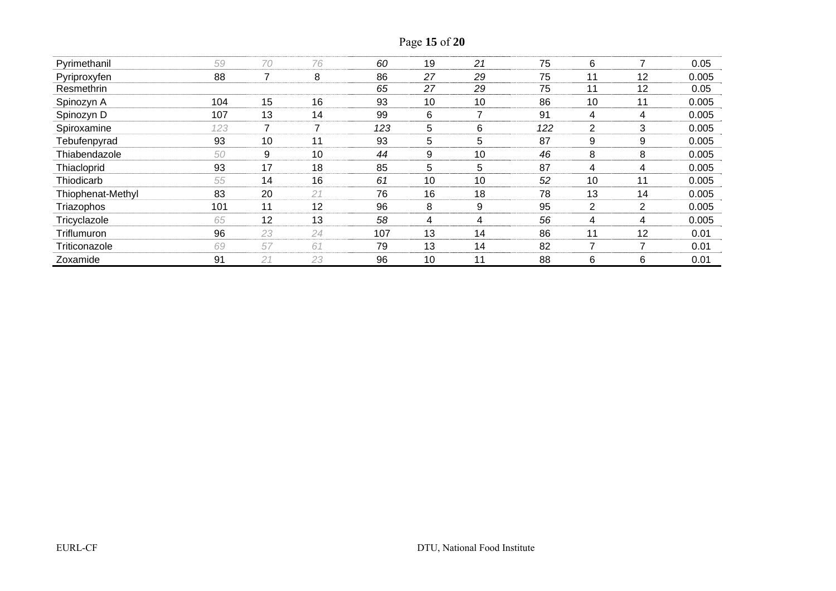| Page 15 of 20 |  |  |  |
|---------------|--|--|--|
|---------------|--|--|--|

| Pyrimethanil      | 59  | 70 | 76 | 60  | 19 | 21 | 75  | 6              | $\overline{\phantom{a}}$ | 0.05  |
|-------------------|-----|----|----|-----|----|----|-----|----------------|--------------------------|-------|
| Pyriproxyfen      | 88  | 7  | 8  | 86  | 27 | 29 | 75  | 11             | 12                       | 0.005 |
| Resmethrin        |     |    |    | 65  | 27 | 29 | 75  | 11             | 12                       | 0.05  |
| Spinozyn A        | 104 | 15 | 16 | 93  | 10 | 10 | 86  | 10             | 11                       | 0.005 |
| Spinozyn D        | 107 | 13 | 14 | 99  | 6  | ⇁  | 91  | 4              | 4                        | 0.005 |
| Spiroxamine       | 123 |    |    | 123 | 5  | 6  | 122 | $\overline{2}$ | 3                        | 0.005 |
| Tebufenpyrad      | 93  | 10 | 11 | 93  | 5  | 5  | 87  | 9              | 9                        | 0.005 |
| Thiabendazole     | 50  | 9  | 10 | 44  | 9  | 10 | 46  | 8              | 8                        | 0.005 |
| Thiacloprid       | 93  | 17 | 18 | 85  | 5  | 5  | 87  | 4              | 4                        | 0.005 |
| Thiodicarb        | 55  | 14 | 16 | 61  | 10 | 10 | 52  | 10             | 11                       | 0.005 |
| Thiophenat-Methyl | 83  | 20 | 21 | 76  | 16 | 18 | 78  | 13             | 14                       | 0.005 |
| Triazophos        | 101 | 11 | 12 | 96  | 8  | 9  | 95  | 2              | 2                        | 0.005 |
| Tricyclazole      | 65  | 12 | 13 | 58  | 4  | 4  | 56  | 4              | 4                        | 0.005 |
| Triflumuron       | 96  | 23 | 24 | 107 | 13 | 14 | 86  | 11             | 12                       | 0.01  |
| Triticonazole     | 69  | 57 | 61 | 79  | 13 | 14 | 82  | 7              | 7                        | 0.01  |
| Zoxamide          | 91  | 21 | 23 | 96  | 10 | 11 | 88  | 6              | 6                        | 0.01  |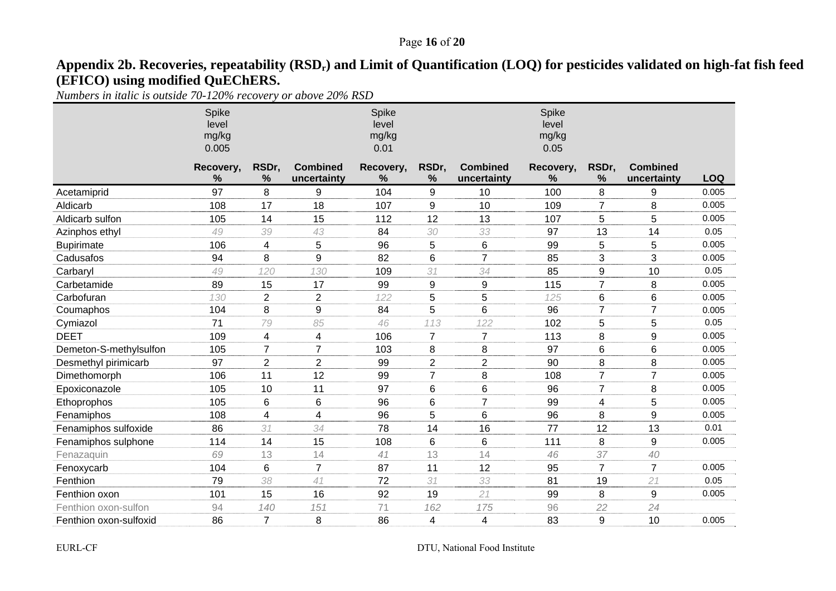## Page **16** of **20**

# Appendix 2b. Recoveries, repeatability (RSD<sub>r</sub>) and Limit of Quantification (LOQ) for pesticides validated on high-fat fish feed **(EFICO) using modified QuEChERS.**

*Numbers in italic is outside 70-120% recovery or above 20% RSD* 

|                        | Spike<br>level<br>mg/kg<br>0.005 |                |                                | Spike<br>level<br>mg/kg<br>0.01 |                |                                | Spike<br>level<br>mg/kg<br>0.05 |                 |                                |            |
|------------------------|----------------------------------|----------------|--------------------------------|---------------------------------|----------------|--------------------------------|---------------------------------|-----------------|--------------------------------|------------|
|                        | Recovery,<br>%                   | RSDr,<br>%     | <b>Combined</b><br>uncertainty | Recovery,<br>$\%$               | RSDr,<br>%     | <b>Combined</b><br>uncertainty | Recovery,<br>%                  | RSDr,<br>%      | <b>Combined</b><br>uncertainty | <b>LOQ</b> |
| Acetamiprid            | 97                               | 8              | 9                              | 104                             | 9              | 10                             | 100                             | 8               | 9                              | 0.005      |
| Aldicarb               | 108                              | 17             | 18                             | 107                             | 9              | 10                             | 109                             | $\overline{7}$  | 8                              | 0.005      |
| Aldicarb sulfon        | 105                              | 14             | 15                             | 112                             | 12             | 13                             | 107                             | 5               | 5                              | 0.005      |
| Azinphos ethyl         | 49                               | 39             | 43                             | 84                              | 30             | 33                             | 97                              | 13              | 14                             | 0.05       |
| <b>Bupirimate</b>      | 106                              | 4              | 5                              | 96                              | 5              | 6                              | 99                              | 5               | 5                              | 0.005      |
| Cadusafos              | 94                               | 8              | 9                              | 82                              | 6              | $\overline{7}$                 | 85                              | 3               | 3                              | 0.005      |
| Carbaryl               | 49                               | 120            | 130                            | 109                             | 31             | 34                             | 85                              | 9               | 10                             | 0.05       |
| Carbetamide            | 89                               | 15             | 17                             | 99                              | 9              | $\boldsymbol{9}$               | 115                             | $\overline{7}$  | 8                              | 0.005      |
| Carbofuran             | 130                              | $\overline{2}$ | $\overline{2}$                 | 122                             | 5              | 5                              | 125                             | $6\phantom{1}6$ | 6                              | 0.005      |
| Coumaphos              | 104                              | 8              | 9                              | 84                              | 5              | 6                              | 96                              | $\overline{7}$  | $\overline{7}$                 | 0.005      |
| Cymiazol               | 71                               | 79             | 85                             | 46                              | 113            | 122                            | 102                             | 5               | 5                              | 0.05       |
| <b>DEET</b>            | 109                              | 4              | 4                              | 106                             | $\overline{7}$ | $\overline{7}$                 | 113                             | 8               | 9                              | 0.005      |
| Demeton-S-methylsulfon | 105                              | $\overline{7}$ | $\overline{7}$                 | 103                             | 8              | 8                              | 97                              | 6               | 6                              | 0.005      |
| Desmethyl pirimicarb   | 97                               | $\overline{2}$ | $\overline{2}$                 | 99                              | $\overline{c}$ | $\overline{2}$                 | 90                              | 8               | 8                              | 0.005      |
| Dimethomorph           | 106                              | 11             | 12                             | 99                              | $\overline{7}$ | 8                              | 108                             | $\overline{7}$  | $\overline{7}$                 | 0.005      |
| Epoxiconazole          | 105                              | 10             | 11                             | 97                              | 6              | 6                              | 96                              | $\overline{7}$  | 8                              | 0.005      |
| Ethoprophos            | 105                              | 6              | 6                              | 96                              | 6              | $\overline{7}$                 | 99                              | 4               | 5                              | 0.005      |
| Fenamiphos             | 108                              | $\overline{4}$ | 4                              | 96                              | 5              | 6                              | 96                              | 8               | 9                              | 0.005      |
| Fenamiphos sulfoxide   | 86                               | 31             | 34                             | 78                              | 14             | 16                             | 77                              | 12              | 13                             | 0.01       |
| Fenamiphos sulphone    | 114                              | 14             | 15                             | 108                             | 6              | 6                              | 111                             | 8               | 9                              | 0.005      |
| Fenazaquin             | 69                               | 13             | 14                             | 41                              | 13             | 14                             | 46                              | 37              | 40                             |            |
| Fenoxycarb             | 104                              | 6              | $\overline{7}$                 | 87                              | 11             | 12                             | 95                              | $\overline{7}$  | $\overline{7}$                 | 0.005      |
| Fenthion               | 79                               | 38             | 41                             | 72                              | 31             | 33                             | 81                              | 19              | 21                             | 0.05       |
| Fenthion oxon          | 101                              | 15             | 16                             | 92                              | 19             | 21                             | 99                              | 8               | 9                              | 0.005      |
| Fenthion oxon-sulfon   | 94                               | 140            | 151                            | 71                              | 162            | 175                            | 96                              | 22              | 24                             |            |
| Fenthion oxon-sulfoxid | 86                               | $\overline{7}$ | 8                              | 86                              | 4              | 4                              | 83                              | 9               | 10                             | 0.005      |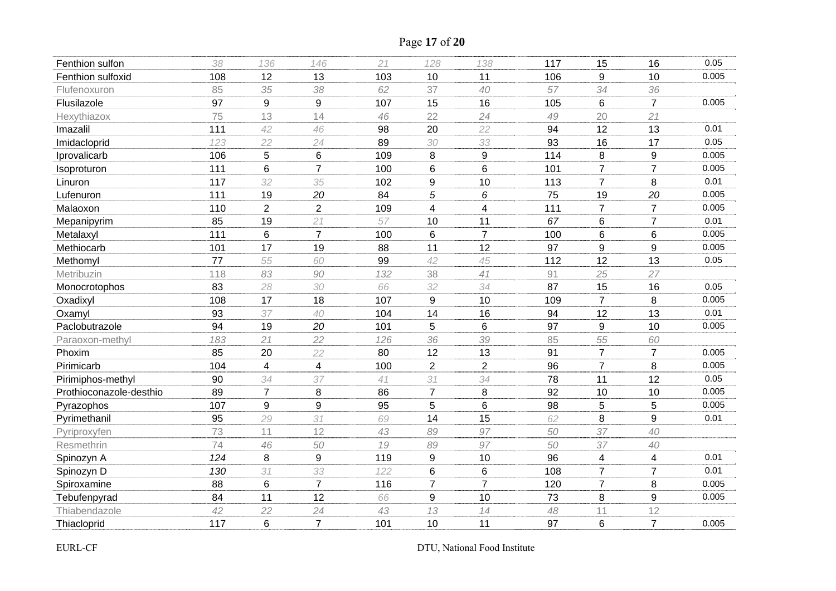Page **17** of **20**

| Fenthion sulfon         | 38  | 136                     | 146            | 21  | 128                     | 138             | 117 | 15              | 16             | 0.05  |
|-------------------------|-----|-------------------------|----------------|-----|-------------------------|-----------------|-----|-----------------|----------------|-------|
| Fenthion sulfoxid       | 108 | 12                      | 13             | 103 | 10                      | 11              | 106 | 9               | 10             | 0.005 |
| Flufenoxuron            | 85  | 35                      | 38             | 62  | 37                      | 40              | 57  | 34              | 36             |       |
| Flusilazole             | 97  | 9                       | 9              | 107 | 15                      | 16              | 105 | 6               | $\overline{7}$ | 0.005 |
| Hexythiazox             | 75  | 13                      | 14             | 46  | 22                      | 24              | 49  | 20              | 21             |       |
| Imazalil                | 111 | 42                      | 46             | 98  | 20                      | 22              | 94  | 12              | 13             | 0.01  |
| Imidacloprid            | 123 | 22                      | 24             | 89  | 30                      | 33              | 93  | 16              | 17             | 0.05  |
| Iprovalicarb            | 106 | 5                       | 6              | 109 | 8                       | 9               | 114 | 8               | 9              | 0.005 |
| Isoproturon             | 111 | $6\phantom{1}6$         | $\overline{7}$ | 100 | 6                       | 6               | 101 | $\overline{7}$  | $\overline{7}$ | 0.005 |
| Linuron                 | 117 | 32                      | 35             | 102 | 9                       | 10              | 113 | $\overline{7}$  | 8              | 0.01  |
| Lufenuron               | 111 | 19                      | 20             | 84  | 5                       | 6               | 75  | 19              | 20             | 0.005 |
| Malaoxon                | 110 | $\overline{2}$          | $\overline{2}$ | 109 | $\overline{\mathbf{4}}$ | 4               | 111 | $\overline{7}$  | $\overline{7}$ | 0.005 |
| Mepanipyrim             | 85  | 19                      | 21             | 57  | 10                      | 11              | 67  | 6               | $\overline{7}$ | 0.01  |
| Metalaxyl               | 111 | $6\phantom{1}$          | $\overline{7}$ | 100 | $6\phantom{1}6$         | $\overline{7}$  | 100 | $6\phantom{1}6$ | 6              | 0.005 |
| Methiocarb              | 101 | 17                      | 19             | 88  | 11                      | 12              | 97  | 9               | 9              | 0.005 |
| Methomyl                | 77  | 55                      | 60             | 99  | 42                      | 45              | 112 | 12              | 13             | 0.05  |
| Metribuzin              | 118 | 83                      | 90             | 132 | 38                      | 41              | 91  | 25              | 27             |       |
| Monocrotophos           | 83  | 28                      | 30             | 66  | 32                      | 34              | 87  | 15              | 16             | 0.05  |
| Oxadixyl                | 108 | 17                      | 18             | 107 | 9                       | 10              | 109 | $\overline{7}$  | 8              | 0.005 |
| Oxamyl                  | 93  | 37                      | 40             | 104 | 14                      | 16              | 94  | 12              | 13             | 0.01  |
| Paclobutrazole          | 94  | 19                      | 20             | 101 | 5                       | 6               | 97  | 9               | 10             | 0.005 |
| Paraoxon-methyl         | 183 | 21                      | 22             | 126 | 36                      | 39              | 85  | 55              | 60             |       |
| Phoxim                  | 85  | 20                      | 22             | 80  | 12                      | 13              | 91  | $\overline{7}$  | $\overline{7}$ | 0.005 |
| Pirimicarb              | 104 | $\overline{\mathbf{4}}$ | $\overline{4}$ | 100 | $\overline{2}$          | $\overline{2}$  | 96  | $\overline{7}$  | 8              | 0.005 |
| Pirimiphos-methyl       | 90  | 34                      | 37             | 41  | 31                      | 34              | 78  | 11              | 12             | 0.05  |
| Prothioconazole-desthio | 89  | $\overline{7}$          | 8              | 86  | $\overline{7}$          | 8               | 92  | 10              | 10             | 0.005 |
| Pyrazophos              | 107 | 9                       | 9              | 95  | 5                       | $6\phantom{1}6$ | 98  | 5               | 5              | 0.005 |
| Pyrimethanil            | 95  | 29                      | 31             | 69  | 14                      | 15              | 62  | 8               | 9              | 0.01  |
| Pyriproxyfen            | 73  | 11                      | 12             | 43  | 89                      | 97              | 50  | 37              | 40             |       |
| Resmethrin              | 74  | 46                      | 50             | 19  | 89                      | 97              | 50  | 37              | 40             |       |
| Spinozyn A              | 124 | 8                       | 9              | 119 | 9                       | 10              | 96  | 4               | 4              | 0.01  |
| Spinozyn D              | 130 | 31                      | 33             | 122 | 6                       | 6               | 108 | $\overline{7}$  | $\overline{7}$ | 0.01  |
| Spiroxamine             | 88  | $6\phantom{1}6$         | $\overline{7}$ | 116 | 7                       | $\overline{7}$  | 120 | $\overline{7}$  | 8              | 0.005 |
| Tebufenpyrad            | 84  | 11                      | 12             | 66  | 9                       | 10              | 73  | 8               | 9              | 0.005 |
| Thiabendazole           | 42  | 22                      | 24             | 43  | 13                      | 14              | 48  | 11              | 12             |       |
| Thiacloprid             | 117 | 6                       | $\overline{7}$ | 101 | 10                      | 11              | 97  | 6               | $\overline{7}$ | 0.005 |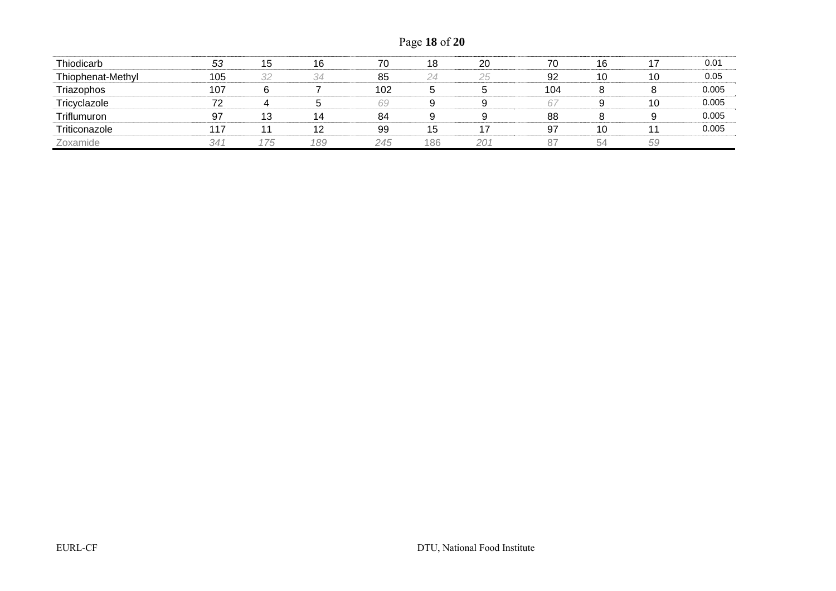Page **18** of **20**

| Thiodicarb        | 53  | 15 | 16  | 70  | 18  | 20  | 70  | 16 | 17 | 0.01  |
|-------------------|-----|----|-----|-----|-----|-----|-----|----|----|-------|
| Thiophenat-Methyl | 105 | 32 | 34  | 85  | 24  | 25  | 92  | 10 | 10 | 0.05  |
| Triazophos        | 107 |    |     | 102 |     |     | 104 |    |    | 0.005 |
| Tricyclazole      | 72  |    |     | 69  |     |     | 67  |    | 10 | 0.005 |
| Triflumuron       | 97  | 13 | 14  | 84  |     |     | 88  |    | 9  | 0.005 |
| Triticonazole     | 117 |    | 12  | 99  | 15  |     | 97  | 10 | 11 | 0.005 |
| Zoxamide          | 341 | 75 | 189 | 245 | 186 | 201 | 87  | 54 | 59 |       |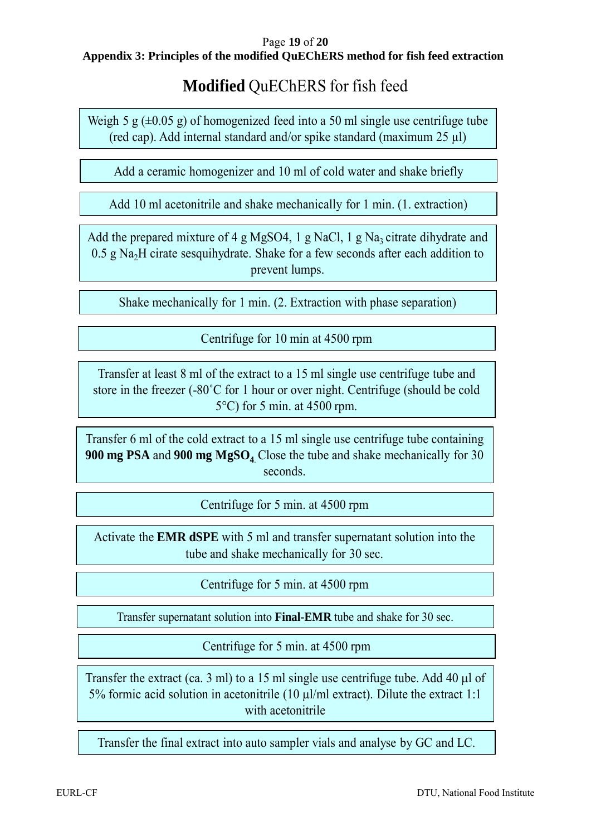#### Page **19** of **20 Appendix 3: Principles of the modified QuEChERS method for fish feed extraction**

# **Modified** QuEChERS for fish feed

Weigh 5 g  $(\pm 0.05 \text{ g})$  of homogenized feed into a 50 ml single use centrifuge tube (red cap). Add internal standard and/or spike standard (maximum 25 µl)

Add a ceramic homogenizer and 10 ml of cold water and shake briefly

Add 10 ml acetonitrile and shake mechanically for 1 min. (1. extraction)

Add the prepared mixture of 4 g MgSO4, 1 g NaCl, 1 g Na<sub>3</sub> citrate dihydrate and  $0.5$  g Na<sub>2</sub>H cirate sesquihydrate. Shake for a few seconds after each addition to prevent lumps.

Shake mechanically for 1 min. (2. Extraction with phase separation)

Centrifuge for 10 min at 4500 rpm

Transfer at least 8 ml of the extract to a 15 ml single use centrifuge tube and store in the freezer (-80˚C for 1 hour or over night. Centrifuge (should be cold 5°C) for 5 min. at 4500 rpm.

Transfer 6 ml of the cold extract to a 15 ml single use centrifuge tube containing **900 mg PSA** and **900 mg MgSO<sub>4</sub>** Close the tube and shake mechanically for 30 seconds.

Centrifuge for 5 min. at 4500 rpm

Activate the **EMR dSPE** with 5 ml and transfer supernatant solution into the tube and shake mechanically for 30 sec.

Centrifuge for 5 min. at 4500 rpm

Transfer supernatant solution into **Final-EMR** tube and shake for 30 sec.

Centrifuge for 5 min. at 4500 rpm

Transfer the extract (ca. 3 ml) to a 15 ml single use centrifuge tube. Add 40  $\mu$ l of 5% formic acid solution in acetonitrile  $(10 \text{ uI/ml extract})$ . Dilute the extract 1:1 with acetonitrile

Transfer the final extract into auto sampler vials and analyse by GC and LC.